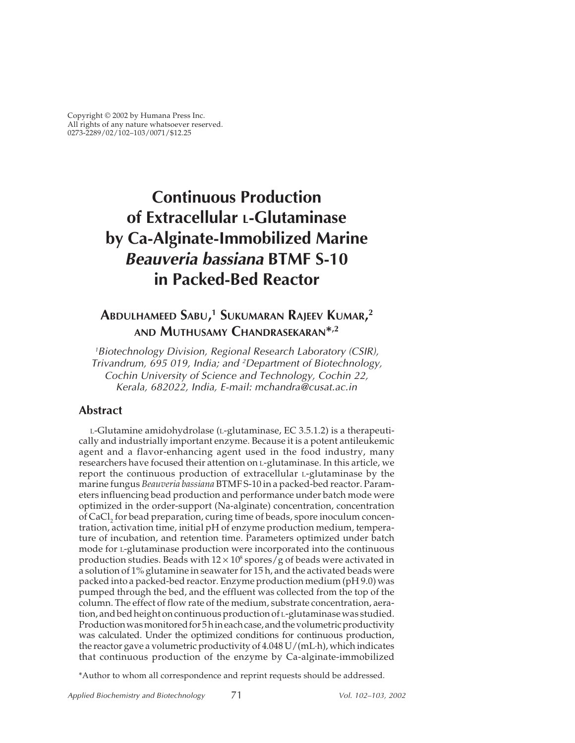# **Continuous Production of Extracellular L-Glutaminase by Ca-Alginate-Immobilized Marine Beauveria bassiana BTMF S-10 in Packed-Bed Reactor**

# **ABDULHAMEED SABU, 1 SUKUMARAN RAJEEV KUMAR, 2 AND MUTHUSAMY CHANDRASEKARAN\*,2**

<sup>1</sup>Biotechnology Division, Regional Research Laboratory (CSIR), Trivandrum, 695 019, India; and 2Department of Biotechnology, Cochin University of Science and Technology, Cochin 22, Kerala, 682022, India, E-mail: mchandra@cusat.ac.in

#### **Abstract**

L-Glutamine amidohydrolase (L-glutaminase, EC 3.5.1.2) is a therapeutically and industrially important enzyme. Because it is a potent antileukemic agent and a flavor-enhancing agent used in the food industry, many researchers have focused their attention on L-glutaminase. In this article, we report the continuous production of extracellular L-glutaminase by the marine fungus *Beauveria bassiana* BTMF S-10 in a packed-bed reactor. Parameters influencing bead production and performance under batch mode were optimized in the order-support (Na-alginate) concentration, concentration of CaCl<sub>2</sub> for bead preparation, curing time of beads, spore inoculum concentration, activation time, initial pH of enzyme production medium, temperature of incubation, and retention time. Parameters optimized under batch mode for L-glutaminase production were incorporated into the continuous production studies. Beads with  $12 \times 10^8$  spores/g of beads were activated in a solution of 1% glutamine in seawater for 15 h, and the activated beads were packed into a packed-bed reactor. Enzyme production medium (pH 9.0) was pumped through the bed, and the effluent was collected from the top of the column. The effect of flow rate of the medium, substrate concentration, aeration, and bed height on continuous production of L-glutaminase was studied. Production was monitored for 5 h in each case, and the volumetric productivity was calculated. Under the optimized conditions for continuous production, the reactor gave a volumetric productivity of 4.048 U/(mL·h), which indicates that continuous production of the enzyme by Ca-alginate-immobilized

\*Author to whom all correspondence and reprint requests should be addressed.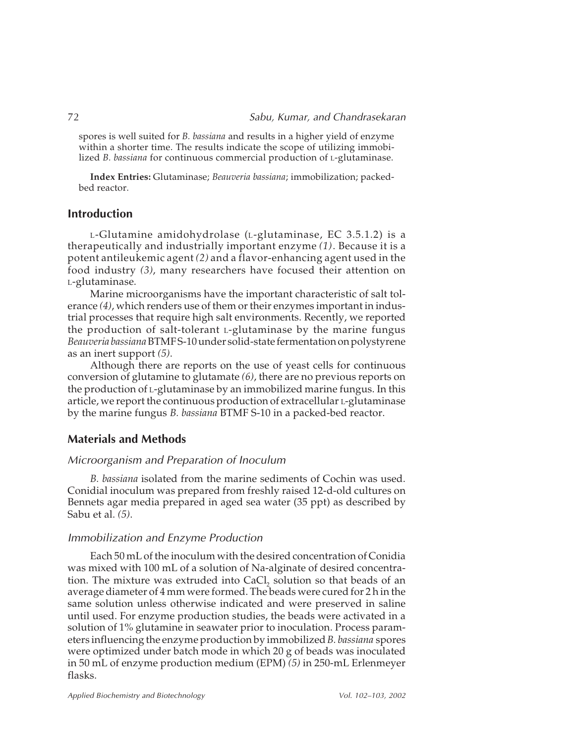spores is well suited for *B. bassiana* and results in a higher yield of enzyme within a shorter time. The results indicate the scope of utilizing immobilized *B. bassiana* for continuous commercial production of L-glutaminase.

**Index Entries:** Glutaminase; *Beauveria bassiana*; immobilization; packedbed reactor.

#### **Introduction**

L-Glutamine amidohydrolase (L-glutaminase, EC 3.5.1.2) is a therapeutically and industrially important enzyme *(1)*. Because it is a potent antileukemic agent *(2)* and a flavor-enhancing agent used in the food industry *(3)*, many researchers have focused their attention on L-glutaminase.

Marine microorganisms have the important characteristic of salt tolerance *(4)*, which renders use of them or their enzymes important in industrial processes that require high salt environments. Recently, we reported the production of salt-tolerant L-glutaminase by the marine fungus *Beauveria bassiana*BTMF S-10 under solid-state fermentation on polystyrene as an inert support *(5)*.

Although there are reports on the use of yeast cells for continuous conversion of glutamine to glutamate *(6)*, there are no previous reports on the production of L-glutaminase by an immobilized marine fungus. In this article, we report the continuous production of extracellular L-glutaminase by the marine fungus *B. bassiana* BTMF S-10 in a packed-bed reactor.

#### **Materials and Methods**

#### Microorganism and Preparation of Inoculum

*B. bassiana* isolated from the marine sediments of Cochin was used. Conidial inoculum was prepared from freshly raised 12-d-old cultures on Bennets agar media prepared in aged sea water (35 ppt) as described by Sabu et al. *(5)*.

#### Immobilization and Enzyme Production

Each 50 mL of the inoculum with the desired concentration of Conidia was mixed with 100 mL of a solution of Na-alginate of desired concentration. The mixture was extruded into CaCl, solution so that beads of an average diameter of 4 mm were formed. The beads were cured for 2 h in the same solution unless otherwise indicated and were preserved in saline until used. For enzyme production studies, the beads were activated in a solution of 1% glutamine in seawater prior to inoculation. Process parameters influencing the enzyme production by immobilized *B. bassiana* spores were optimized under batch mode in which 20 g of beads was inoculated in 50 mL of enzyme production medium (EPM) *(5)* in 250-mL Erlenmeyer flasks.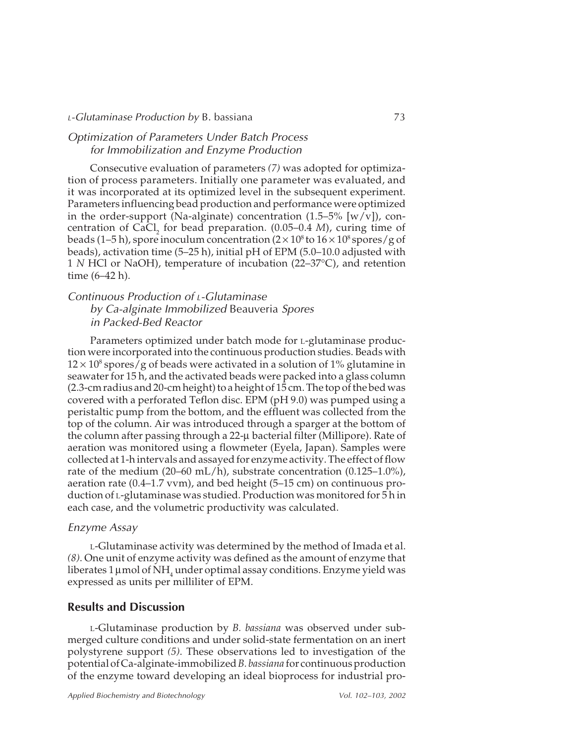#### Optimization of Parameters Under Batch Process for Immobilization and Enzyme Production

Consecutive evaluation of parameters *(7)* was adopted for optimization of process parameters. Initially one parameter was evaluated, and it was incorporated at its optimized level in the subsequent experiment. Parameters influencing bead production and performance were optimized in the order-support (Na-alginate) concentration  $(1.5-5\%$  [w/v]), concentration of CaCl, for bead preparation. (0.05–0.4 *M*), curing time of beads (1–5 h), spore inoculum concentration ( $2 \times 10^8$  to  $16 \times 10^8$  spores/g of beads), activation time (5–25 h), initial pH of EPM (5.0–10.0 adjusted with 1 *N* HCl or NaOH), temperature of incubation (22–37°C), and retention time (6–42 h).

## Continuous Production of L-Glutaminase by Ca-alginate Immobilized Beauveria Spores in Packed-Bed Reactor

Parameters optimized under batch mode for L-glutaminase production were incorporated into the continuous production studies. Beads with  $12 \times 10^8$  spores/g of beads were activated in a solution of 1% glutamine in seawater for 15 h, and the activated beads were packed into a glass column (2.3-cm radius and 20-cm height) to a height of 15 cm. The top of the bed was covered with a perforated Teflon disc. EPM (pH 9.0) was pumped using a peristaltic pump from the bottom, and the effluent was collected from the top of the column. Air was introduced through a sparger at the bottom of the column after passing through a 22-µ bacterial filter (Millipore). Rate of aeration was monitored using a flowmeter (Eyela, Japan). Samples were collected at 1-h intervals and assayed for enzyme activity. The effect of flow rate of the medium  $(20-60 \text{ mL/h})$ , substrate concentration  $(0.125-1.0\%)$ , aeration rate (0.4–1.7 vvm), and bed height (5–15 cm) on continuous production of L-glutaminase was studied. Production was monitored for 5 h in each case, and the volumetric productivity was calculated.

#### Enzyme Assay

L-Glutaminase activity was determined by the method of Imada et al. *(8)*. One unit of enzyme activity was defined as the amount of enzyme that liberates 1  $\mu$ mol of NH<sub>4</sub> under optimal assay conditions. Enzyme yield was expressed as units per milliliter of EPM.

#### **Results and Discussion**

L-Glutaminase production by *B. bassiana* was observed under submerged culture conditions and under solid-state fermentation on an inert polystyrene support *(5)*. These observations led to investigation of the potential of Ca-alginate-immobilized *B. bassiana* for continuous production of the enzyme toward developing an ideal bioprocess for industrial pro-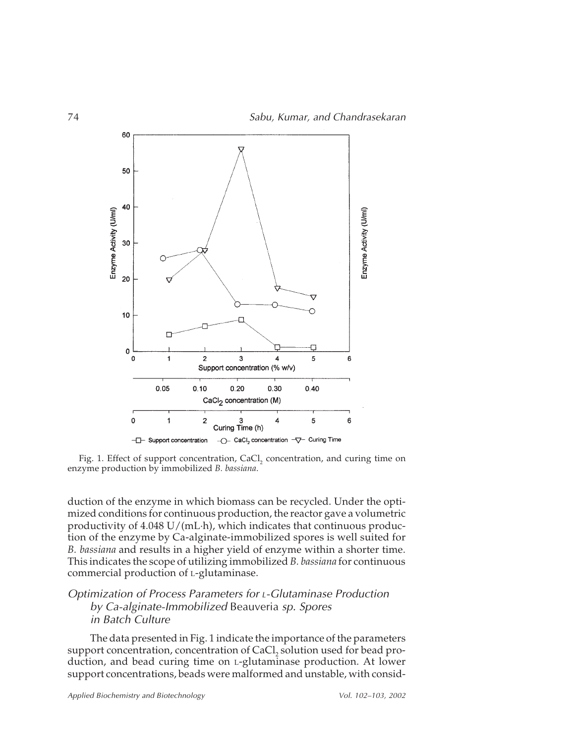

Fig. 1. Effect of support concentration, CaCl, concentration, and curing time on enzyme production by immobilized *B. bassiana*.

duction of the enzyme in which biomass can be recycled. Under the optimized conditions for continuous production, the reactor gave a volumetric productivity of 4.048 U/(mL·h), which indicates that continuous production of the enzyme by Ca-alginate-immobilized spores is well suited for *B. bassiana* and results in a higher yield of enzyme within a shorter time. This indicates the scope of utilizing immobilized *B. bassiana* for continuous commercial production of L-glutaminase.

### Optimization of Process Parameters for L-Glutaminase Production by Ca-alginate-Immobilized Beauveria sp. Spores in Batch Culture

The data presented in Fig. 1 indicate the importance of the parameters support concentration, concentration of CaCl, solution used for bead production, and bead curing time on L-glutaminase production. At lower support concentrations, beads were malformed and unstable, with consid-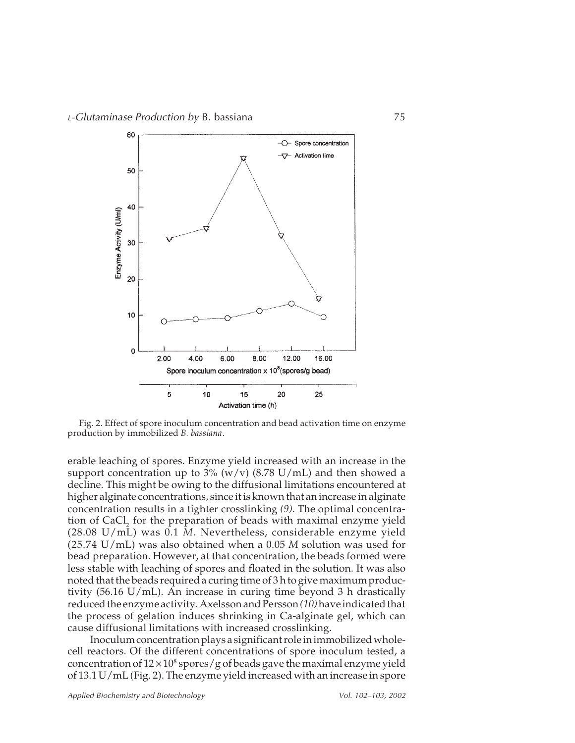

Fig. 2. Effect of spore inoculum concentration and bead activation time on enzyme production by immobilized *B. bassiana*.

erable leaching of spores. Enzyme yield increased with an increase in the support concentration up to  $3\%$  (w/v) (8.78 U/mL) and then showed a decline. This might be owing to the diffusional limitations encountered at higher alginate concentrations, since it is known that an increase in alginate concentration results in a tighter crosslinking *(9)*. The optimal concentration of CaCl, for the preparation of beads with maximal enzyme yield (28.08 U/mL) was 0.1 *M*. Nevertheless, considerable enzyme yield (25.74 U/mL) was also obtained when a 0.05 *M* solution was used for bead preparation. However, at that concentration, the beads formed were less stable with leaching of spores and floated in the solution. It was also noted that the beads required a curing time of 3 h to give maximum productivity (56.16 U/mL). An increase in curing time beyond 3 h drastically reduced the enzyme activity. Axelsson and Persson *(10)*have indicated that the process of gelation induces shrinking in Ca-alginate gel, which can cause diffusional limitations with increased crosslinking.

Inoculum concentration plays a significant role in immobilized wholecell reactors. Of the different concentrations of spore inoculum tested, a concentration of  $12 \times 10^8$  spores/g of beads gave the maximal enzyme yield of 13.1 U/mL (Fig. 2). The enzyme yield increased with an increase in spore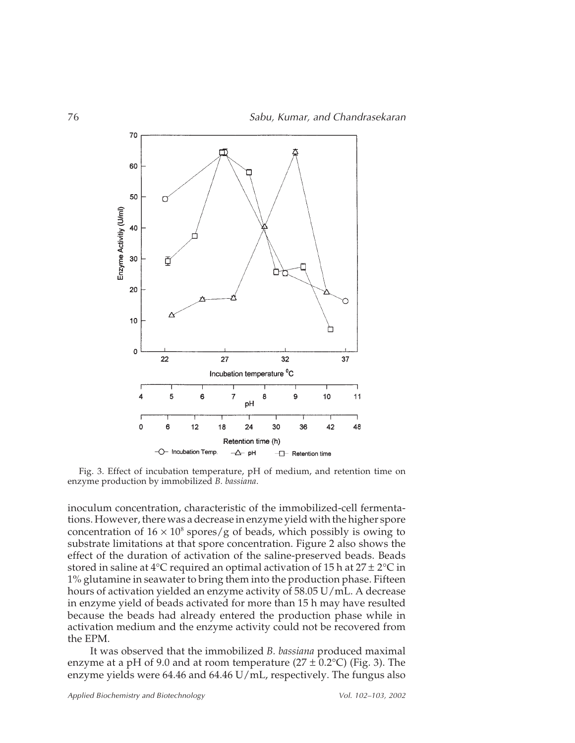

Fig. 3. Effect of incubation temperature, pH of medium, and retention time on enzyme production by immobilized *B. bassiana*.

inoculum concentration, characteristic of the immobilized-cell fermentations. However, there was a decrease in enzyme yield with the higher spore concentration of  $16 \times 10^8$  spores/g of beads, which possibly is owing to substrate limitations at that spore concentration. Figure 2 also shows the effect of the duration of activation of the saline-preserved beads. Beads stored in saline at 4°C required an optimal activation of 15 h at  $27 \pm 2$ °C in 1% glutamine in seawater to bring them into the production phase. Fifteen hours of activation yielded an enzyme activity of 58.05 U/mL. A decrease in enzyme yield of beads activated for more than 15 h may have resulted because the beads had already entered the production phase while in activation medium and the enzyme activity could not be recovered from the EPM.

It was observed that the immobilized *B. bassiana* produced maximal enzyme at a pH of 9.0 and at room temperature ( $27 \pm 0.2$ °C) (Fig. 3). The enzyme yields were 64.46 and 64.46 U/mL, respectively. The fungus also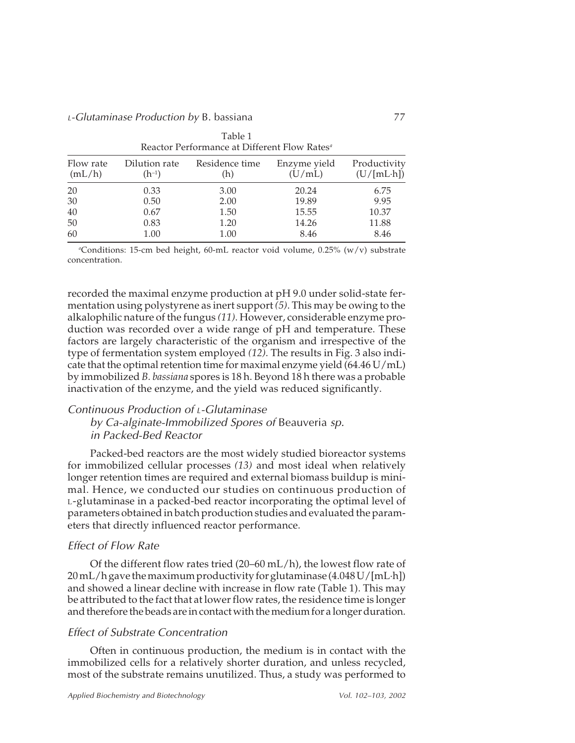| Reactor Performance at Different Flow Rates |                             |                       |                        |                                    |  |
|---------------------------------------------|-----------------------------|-----------------------|------------------------|------------------------------------|--|
| Flow rate<br>(mL/h)                         | Dilution rate<br>$(h^{-1})$ | Residence time<br>(h) | Enzyme yield<br>(U/mL) | Productivity<br>$(U/[mL \cdot h])$ |  |
| 20                                          | 0.33                        | 3.00                  | 20.24                  | 6.75                               |  |
| 30                                          | 0.50                        | 2.00                  | 19.89                  | 9.95                               |  |
| 40                                          | 0.67                        | 1.50                  | 15.55                  | 10.37                              |  |
| 50                                          | 0.83                        | 1.20                  | 14.26                  | 11.88                              |  |
| 60                                          | 1.00                        | 1.00                  | 8.46                   | 8.46                               |  |

Table 1 Reactor Performance at Different Flow Rates*<sup>a</sup>*

*a* Conditions: 15-cm bed height, 60-mL reactor void volume, 0.25% (w/v) substrate concentration.

recorded the maximal enzyme production at pH 9.0 under solid-state fermentation using polystyrene as inert support *(5)*. This may be owing to the alkalophilic nature of the fungus *(11)*. However, considerable enzyme production was recorded over a wide range of pH and temperature. These factors are largely characteristic of the organism and irrespective of the type of fermentation system employed *(12)*. The results in Fig. 3 also indicate that the optimal retention time for maximal enzyme yield  $(64.46 \text{ U/mL})$ by immobilized *B. bassiana* spores is 18 h. Beyond 18 h there was a probable inactivation of the enzyme, and the yield was reduced significantly.

### Continuous Production of L-Glutaminase

by Ca-alginate-Immobilized Spores of Beauveria sp. in Packed-Bed Reactor

Packed-bed reactors are the most widely studied bioreactor systems for immobilized cellular processes *(13)* and most ideal when relatively longer retention times are required and external biomass buildup is minimal. Hence, we conducted our studies on continuous production of L-glutaminase in a packed-bed reactor incorporating the optimal level of parameters obtained in batch production studies and evaluated the parameters that directly influenced reactor performance.

#### Effect of Flow Rate

Of the different flow rates tried (20–60 mL/h), the lowest flow rate of 20 mL/h gave the maximum productivity for glutaminase (4.048 U/[mL·h]) and showed a linear decline with increase in flow rate (Table 1). This may be attributed to the fact that at lower flow rates, the residence time is longer and therefore the beads are in contact with the medium for a longer duration.

#### Effect of Substrate Concentration

Often in continuous production, the medium is in contact with the immobilized cells for a relatively shorter duration, and unless recycled, most of the substrate remains unutilized. Thus, a study was performed to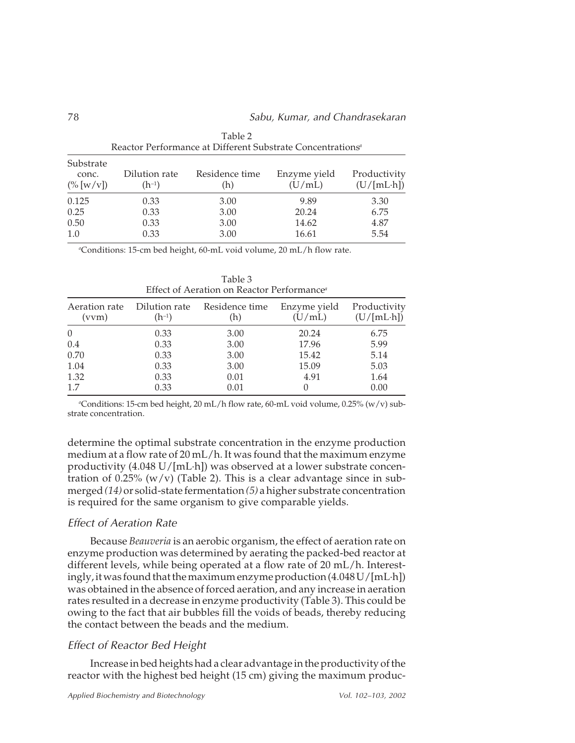| Reactor Performance at Different Substrate Concentrations" |                             |                       |                        |                                    |
|------------------------------------------------------------|-----------------------------|-----------------------|------------------------|------------------------------------|
| Substrate<br>conc.<br>$(\% [w/v])$                         | Dilution rate<br>$(h^{-1})$ | Residence time<br>(h) | Enzyme yield<br>(U/mL) | Productivity<br>$(U/[mL \cdot h])$ |
| 0.125<br>0.25<br>0.50                                      | 0.33<br>0.33<br>0.33        | 3.00<br>3.00<br>3.00  | 9.89<br>20.24<br>14.62 | 3.30<br>6.75<br>4.87               |
| 1.0                                                        | 0.33                        | 3.00                  | 16.61                  | 5.54                               |

Table 2 Reactor Performance at Different Substrate Concentrations*<sup>a</sup>*

*a* Conditions: 15-cm bed height, 60-mL void volume, 20 mL/h flow rate.

| Effect of Aeration on Reactor Performance <sup>®</sup> |                             |                       |                        |                                    |  |
|--------------------------------------------------------|-----------------------------|-----------------------|------------------------|------------------------------------|--|
| Aeration rate<br>(vym)                                 | Dilution rate<br>$(h^{-1})$ | Residence time<br>(h) | Enzyme yield<br>(U/mL) | Productivity<br>$(U/[mL \cdot h])$ |  |
| $\theta$                                               | 0.33                        | 3.00                  | 20.24                  | 6.75                               |  |
| 0.4                                                    | 0.33                        | 3.00                  | 17.96                  | 5.99                               |  |
| 0.70                                                   | 0.33                        | 3.00                  | 15.42                  | 5.14                               |  |
| 1.04                                                   | 0.33                        | 3.00                  | 15.09                  | 5.03                               |  |
| 1.32                                                   | 0.33                        | 0.01                  | 4.91                   | 1.64                               |  |
| 1.7                                                    | 0.33                        | 0.01                  |                        | 0.00                               |  |

Table 3 Effect of Aeration on Reactor Performance*<sup>a</sup>*

*a* Conditions: 15-cm bed height, 20 mL/h flow rate, 60-mL void volume, 0.25% (w/v) substrate concentration.

determine the optimal substrate concentration in the enzyme production medium at a flow rate of 20 mL/h. It was found that the maximum enzyme productivity (4.048 U/[mL·h]) was observed at a lower substrate concentration of 0.25%  $(w/v)$  (Table 2). This is a clear advantage since in submerged *(14)* or solid-state fermentation *(5)* a higher substrate concentration is required for the same organism to give comparable yields.

#### Effect of Aeration Rate

Because *Beauveria* is an aerobic organism, the effect of aeration rate on enzyme production was determined by aerating the packed-bed reactor at different levels, while being operated at a flow rate of 20 mL/h. Interestingly, it was found that the maximum enzyme production (4.048 U/[mL·h]) was obtained in the absence of forced aeration, and any increase in aeration rates resulted in a decrease in enzyme productivity (Table 3). This could be owing to the fact that air bubbles fill the voids of beads, thereby reducing the contact between the beads and the medium.

# Effect of Reactor Bed Height

Increase in bed heights had a clear advantage in the productivity of the reactor with the highest bed height (15 cm) giving the maximum produc-